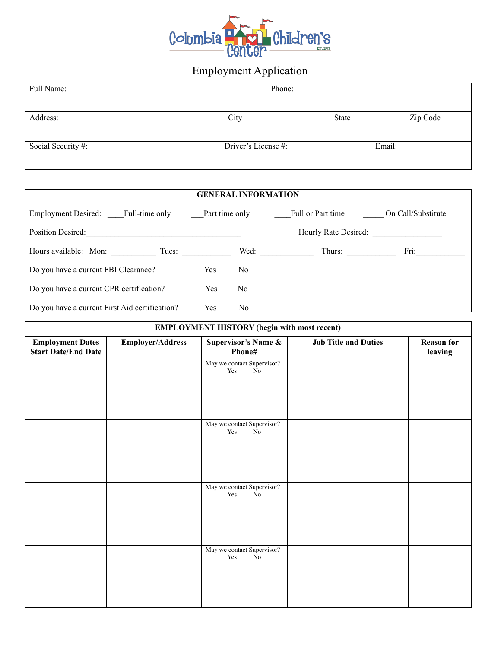

## Employment Application

| Full Name:         | Phone:              |        |          |  |
|--------------------|---------------------|--------|----------|--|
|                    |                     |        |          |  |
| Address:           | City                | State  | Zip Code |  |
|                    |                     |        |          |  |
| Social Security #: | Driver's License #: | Email: |          |  |
|                    |                     |        |          |  |

| <b>GENERAL INFORMATION</b>                                                                                                                                         |                |                |                   |                    |  |  |
|--------------------------------------------------------------------------------------------------------------------------------------------------------------------|----------------|----------------|-------------------|--------------------|--|--|
| Employment Desired: Full-time only                                                                                                                                 | Part time only |                | Full or Part time | On Call/Substitute |  |  |
| Position Desired:<br>Hourly Rate Desired:<br><u> 1980 - Jan Barbara, mandalar masjid asl a shekara ta 1980 - Ang tagair a shekara ta 1980 - Ang tagair a sheka</u> |                |                |                   |                    |  |  |
| Hours available: Mon:<br>Tues:                                                                                                                                     |                | Wed:           | Thurs:            | Fri:               |  |  |
| Do you have a current FBI Clearance?                                                                                                                               | <b>Yes</b>     | N <sub>0</sub> |                   |                    |  |  |
| Do you have a current CPR certification?                                                                                                                           | Yes            | N <sub>0</sub> |                   |                    |  |  |
| Do you have a current First Aid certification?                                                                                                                     | Yes            | N <sub>0</sub> |                   |                    |  |  |

| <b>EMPLOYMENT HISTORY (begin with most recent)</b>    |                         |                                                     |                             |                              |  |
|-------------------------------------------------------|-------------------------|-----------------------------------------------------|-----------------------------|------------------------------|--|
| <b>Employment Dates</b><br><b>Start Date/End Date</b> | <b>Employer/Address</b> | <b>Supervisor's Name &amp;</b><br>Phone#            | <b>Job Title and Duties</b> | <b>Reason for</b><br>leaving |  |
|                                                       |                         | May we contact Supervisor?<br>Yes<br>N <sub>0</sub> |                             |                              |  |
|                                                       |                         | May we contact Supervisor?<br>N <sub>o</sub><br>Yes |                             |                              |  |
|                                                       |                         | May we contact Supervisor?<br>Yes<br>No             |                             |                              |  |
|                                                       |                         |                                                     |                             |                              |  |
|                                                       |                         | May we contact Supervisor?<br>Yes<br>$\rm No$       |                             |                              |  |